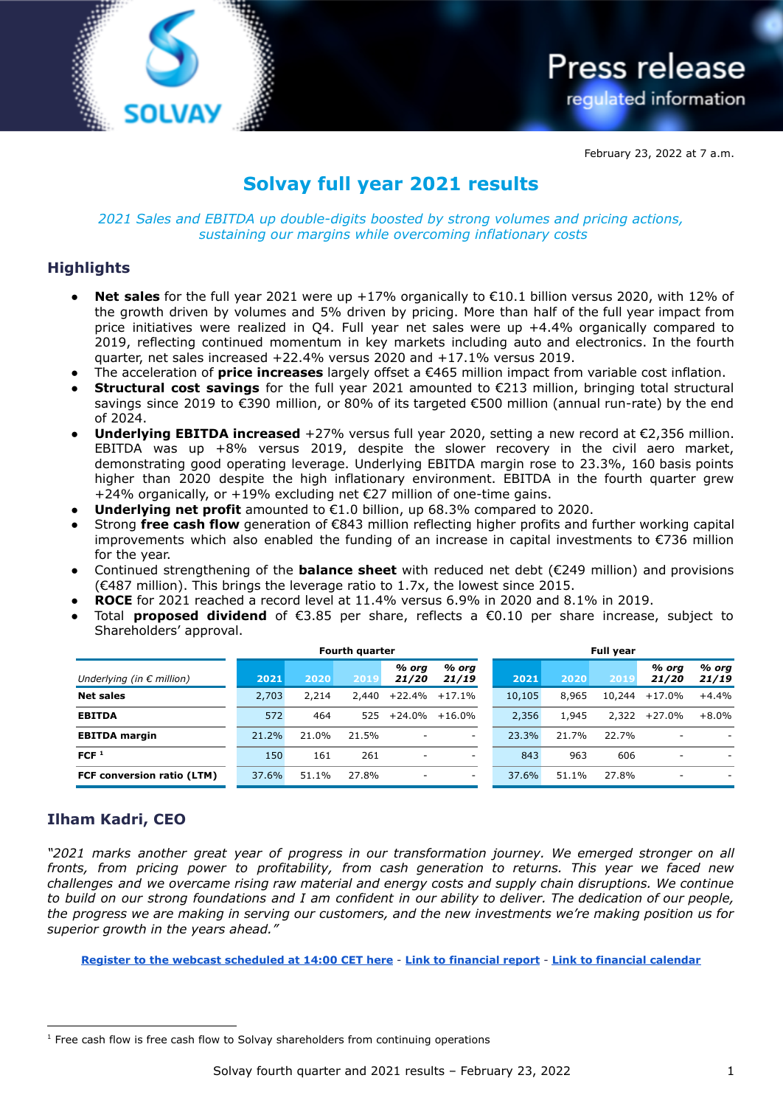**Press release** regulated information

February 23, 2022 at 7 a.m.

# **Solvay full year 2021 results**

*2021 Sales and EBITDA up double-digits boosted by strong volumes and pricing actions, sustaining our margins while overcoming inflationary costs*

### **Highlights**

**ILVAY** 

- **Net sales** for the full year 2021 were up +17% organically to €10.1 billion versus 2020, with 12% of the growth driven by volumes and 5% driven by pricing. More than half of the full year impact from price initiatives were realized in Q4. Full year net sales were up +4.4% organically compared to 2019, reflecting continued momentum in key markets including auto and electronics. In the fourth quarter, net sales increased +22.4% versus 2020 and +17.1% versus 2019.
- The acceleration of **price increases** largely offset a €465 million impact from variable cost inflation.
- **Structural cost savings** for the full year 2021 amounted to €213 million, bringing total structural savings since 2019 to €390 million, or 80% of its targeted €500 million (annual run-rate) by the end of 2024.
- **Underlying EBITDA increased** +27% versus full year 2020, setting a new record at €2,356 million. EBITDA was up +8% versus 2019, despite the slower recovery in the civil aero market, demonstrating good operating leverage. Underlying EBITDA margin rose to 23.3%, 160 basis points higher than 2020 despite the high inflationary environment. EBITDA in the fourth quarter grew +24% organically, or +19% excluding net €27 million of one-time gains.
- **Underlying net profit** amounted to €1.0 billion, up 68.3% compared to 2020.
- Strong **free cash flow** generation of €843 million reflecting higher profits and further working capital improvements which also enabled the funding of an increase in capital investments to €736 million for the year.
- Continued strengthening of the **balance sheet** with reduced net debt (€249 million) and provisions (€487 million). This brings the leverage ratio to 1.7x, the lowest since 2015.
- **ROCE** for 2021 reached a record level at 11.4% versus 6.9% in 2020 and 8.1% in 2019.
- Total **proposed dividend** of €3.85 per share, reflects a €0.10 per share increase, subject to Shareholders' approval.

|                                    | Fourth quarter |       |       |                | <b>Full year</b> |  |        |       |        |                          |                |
|------------------------------------|----------------|-------|-------|----------------|------------------|--|--------|-------|--------|--------------------------|----------------|
| Underlying (in $\epsilon$ million) | 2021           | 2020  | 2019  | % ora<br>21/20 | % org<br>21/19   |  | 2021   | 2020  | 2019   | % ora<br>21/20           | % org<br>21/19 |
| <b>Net sales</b>                   | 2,703          | 2,214 | 2,440 | $+22.4%$       | $+17.1%$         |  | 10,105 | 8,965 | 10,244 | +17.0%                   | $+4.4%$        |
| <b>EBITDA</b>                      | 572            | 464   | 525   | $+24.0%$       | $+16.0%$         |  | 2,356  | 1,945 | 2,322  | +27.0%                   | $+8.0%$        |
| <b>EBITDA</b> margin               | 21.2%          | 21.0% | 21.5% |                | ۰                |  | 23.3%  | 21.7% | 22.7%  |                          |                |
| FCF <sup>1</sup>                   | 150            | 161   | 261   | ۰              | ۰                |  | 843    | 963   | 606    | $\overline{\phantom{a}}$ |                |
| FCF conversion ratio (LTM)         | 37.6%          | 51.1% | 27.8% |                | -                |  | 37.6%  | 51.1% | 27.8%  |                          |                |

### **Ilham Kadri, CEO**

*"2021 marks another great year of progress in our transformation journey. We emerged stronger on all fronts, from pricing power to profitability, from cash generation to returns. This year we faced new challenges and we overcame rising raw material and energy costs and supply chain disruptions. We continue to build on our strong foundations and I am confident in our ability to deliver. The dedication of our people, the progress we are making in serving our customers, and the new investments we're making position us for superior growth in the years ahead."*

**[Register to the webcast scheduled at 14:00 CET here](https://www.solvay.com/en/investors/financial-calendar-events-presentations/webcasts-podcasts-presentations)** - **[Link to financial report](https://www.solvay.com/en/investors/financial-reporting/solvay-earnings)** - **[Link to financial calendar](https://www.solvay.com/en/investors/financial-calendar-events-presentations)**

 $<sup>1</sup>$  Free cash flow is free cash flow to Solvay shareholders from continuing operations</sup>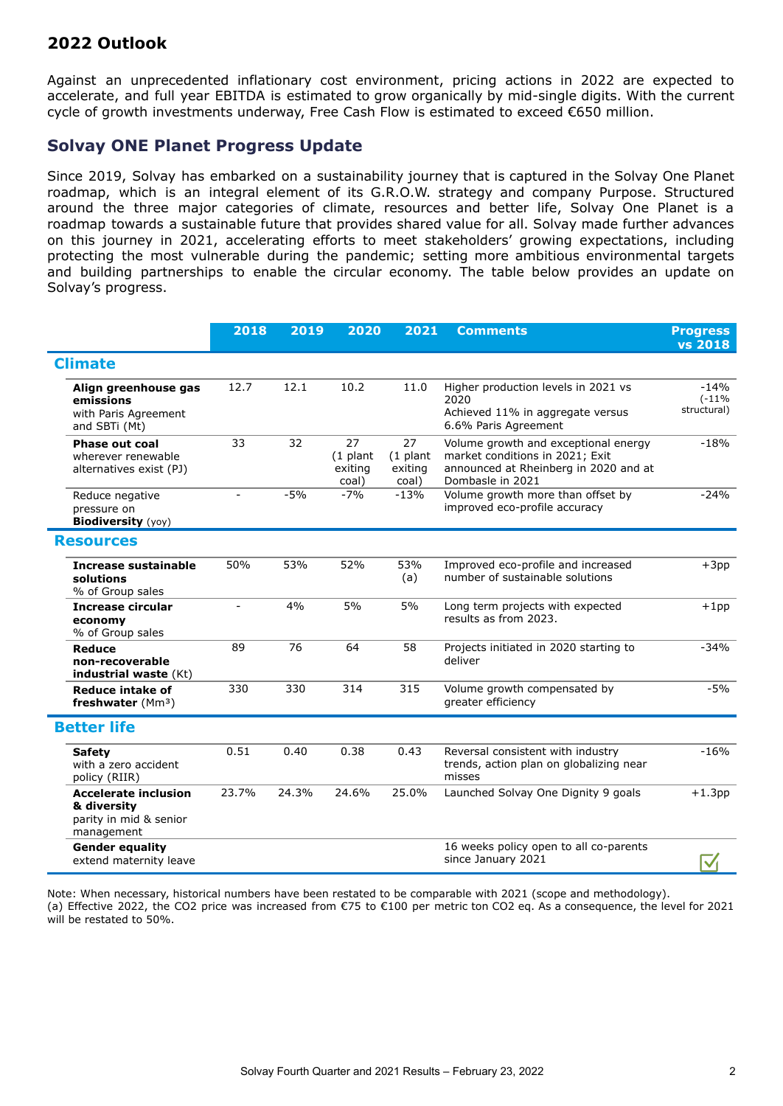## **2022 Outlook**

Against an unprecedented inflationary cost environment, pricing actions in 2022 are expected to accelerate, and full year EBITDA is estimated to grow organically by mid-single digits. With the current cycle of growth investments underway, Free Cash Flow is estimated to exceed €650 million.

## **Solvay ONE Planet Progress Update**

Since 2019, Solvay has embarked on a sustainability journey that is captured in the Solvay One Planet roadmap, which is an integral element of its G.R.O.W. strategy and company Purpose. Structured around the three major categories of climate, resources and better life, Solvay One Planet is a roadmap towards a sustainable future that provides shared value for all. Solvay made further advances on this journey in 2021, accelerating efforts to meet stakeholders' growing expectations, including protecting the most vulnerable during the pandemic; setting more ambitious environmental targets and building partnerships to enable the circular economy. The table below provides an update on Solvay's progress.

|                                                                                    | 2018           | 2019  | 2020                                 | 2021                                 | <b>Comments</b>                                                                                                                      | <b>Progress</b><br><b>vs 2018</b> |
|------------------------------------------------------------------------------------|----------------|-------|--------------------------------------|--------------------------------------|--------------------------------------------------------------------------------------------------------------------------------------|-----------------------------------|
| <b>Climate</b>                                                                     |                |       |                                      |                                      |                                                                                                                                      |                                   |
| Align greenhouse gas<br>emissions<br>with Paris Agreement<br>and SBTi (Mt)         | 12.7           | 12.1  | 10.2                                 | 11.0                                 | Higher production levels in 2021 vs<br>2020<br>Achieved 11% in aggregate versus<br>6.6% Paris Agreement                              | $-14%$<br>$(-11%$<br>structural)  |
| <b>Phase out coal</b><br>wherever renewable<br>alternatives exist (PJ)             | 33             | 32    | 27<br>$(1$ plant<br>exiting<br>coal) | 27<br>$(1$ plant<br>exiting<br>coal) | Volume growth and exceptional energy<br>market conditions in 2021; Exit<br>announced at Rheinberg in 2020 and at<br>Dombasle in 2021 | $-18%$                            |
| Reduce negative<br>pressure on<br><b>Biodiversity</b> (yoy)                        | $\blacksquare$ | $-5%$ | $-7%$                                | $-13%$                               | Volume growth more than offset by<br>improved eco-profile accuracy                                                                   | $-24%$                            |
| <b>Resources</b>                                                                   |                |       |                                      |                                      |                                                                                                                                      |                                   |
| <b>Increase sustainable</b><br>solutions<br>% of Group sales                       | 50%            | 53%   | 52%                                  | 53%<br>(a)                           | Improved eco-profile and increased<br>number of sustainable solutions                                                                | $+3pp$                            |
| <b>Increase circular</b><br>economy<br>% of Group sales                            | $\blacksquare$ | 4%    | 5%                                   | 5%                                   | Long term projects with expected<br>results as from 2023.                                                                            | $+1pp$                            |
| Reduce<br>non-recoverable<br>industrial waste (Kt)                                 | 89             | 76    | 64                                   | 58                                   | Projects initiated in 2020 starting to<br>deliver                                                                                    | $-34%$                            |
| <b>Reduce intake of</b><br>freshwater $(Mm3)$                                      | 330            | 330   | 314                                  | 315                                  | Volume growth compensated by<br>greater efficiency                                                                                   | $-5%$                             |
| <b>Better life</b>                                                                 |                |       |                                      |                                      |                                                                                                                                      |                                   |
| <b>Safety</b><br>with a zero accident<br>policy (RIIR)                             | 0.51           | 0.40  | 0.38                                 | 0.43                                 | Reversal consistent with industry<br>trends, action plan on globalizing near<br>misses                                               | $-16%$                            |
| <b>Accelerate inclusion</b><br>& diversity<br>parity in mid & senior<br>management | 23.7%          | 24.3% | 24.6%                                | 25.0%                                | Launched Solvay One Dignity 9 goals                                                                                                  | $+1.3$ pp                         |
| <b>Gender equality</b><br>extend maternity leave                                   |                |       |                                      |                                      | 16 weeks policy open to all co-parents<br>since January 2021                                                                         |                                   |

Note: When necessary, historical numbers have been restated to be comparable with 2021 (scope and methodology). (a) Effective 2022, the CO2 price was increased from €75 to €100 per metric ton CO2 eq. As a consequence, the level for 2021 will be restated to 50%.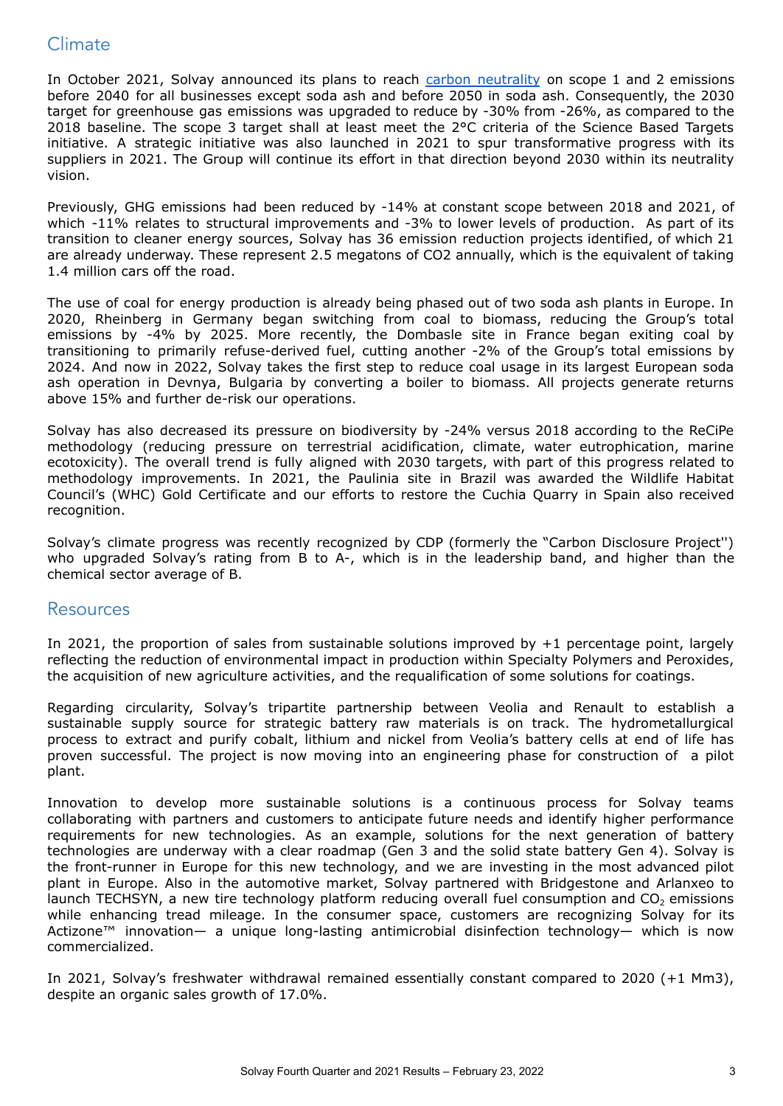# Climate

In October 2021, Solvay announced its plans to reach carbon [neutrality](https://www.solvay.com/en/press-release/solvay-targets-carbon-neutrality-before-2050) on scope 1 and 2 emissions before 2040 for all businesses except soda ash and before 2050 in soda ash. Consequently, the 2030 target for greenhouse gas emissions was upgraded to reduce by -30% from -26%, as compared to the 2018 baseline. The scope 3 target shall at least meet the 2°C criteria of the Science Based Targets initiative. A strategic initiative was also launched in 2021 to spur transformative progress with its suppliers in 2021. The Group will continue its effort in that direction beyond 2030 within its neutrality vision.

Previously, GHG emissions had been reduced by -14% at constant scope between 2018 and 2021, of which -11% relates to structural improvements and -3% to lower levels of production. As part of its transition to cleaner energy sources, Solvay has 36 emission reduction projects identified, of which 21 are already underway. These represent 2.5 megatons of CO2 annually, which is the equivalent of taking 1.4 million cars off the road.

The use of coal for energy production is already being phased out of two soda ash plants in Europe. In 2020, Rheinberg in Germany began switching from coal to biomass, reducing the Group's total emissions by -4% by 2025. More recently, the Dombasle site in France began exiting coal by transitioning to primarily refuse-derived fuel, cutting another -2% of the Group's total emissions by 2024. And now in 2022, Solvay takes the first step to reduce coal usage in its largest European soda ash operation in Devnya, Bulgaria by converting a boiler to biomass. All projects generate returns above 15% and further de-risk our operations.

Solvay has also decreased its pressure on biodiversity by -24% versus 2018 according to the ReCiPe methodology (reducing pressure on terrestrial acidification, climate, water eutrophication, marine ecotoxicity). The overall trend is fully aligned with 2030 targets, with part of this progress related to methodology improvements. In 2021, the Paulinia site in Brazil was awarded the Wildlife Habitat Council's (WHC) Gold Certificate and our efforts to restore the Cuchia Quarry in Spain also received recognition.

Solvay's climate progress was recently recognized by CDP (formerly the "Carbon Disclosure Project'') who upgraded Solvay's rating from B to A-, which is in the leadership band, and higher than the chemical sector average of B.

### **Resources**

In 2021, the proportion of sales from sustainable solutions improved by  $+1$  percentage point, largely reflecting the reduction of environmental impact in production within Specialty Polymers and Peroxides, the acquisition of new agriculture activities, and the requalification of some solutions for coatings.

Regarding circularity, Solvay's tripartite partnership between Veolia and Renault to establish a sustainable supply source for strategic battery raw materials is on track. The hydrometallurgical process to extract and purify cobalt, lithium and nickel from Veolia's battery cells at end of life has proven successful. The project is now moving into an engineering phase for construction of a pilot plant.

Innovation to develop more sustainable solutions is a continuous process for Solvay teams collaborating with partners and customers to anticipate future needs and identify higher performance requirements for new technologies. As an example, solutions for the next generation of battery technologies are underway with a clear roadmap (Gen 3 and the solid state battery Gen 4). Solvay is the front-runner in Europe for this new technology, and we are investing in the most advanced pilot plant in Europe. Also in the automotive market, Solvay partnered with Bridgestone and Arlanxeo to launch TECHSYN, a new tire technology platform reducing overall fuel consumption and  $CO<sub>2</sub>$  emissions while enhancing tread mileage. In the consumer space, customers are recognizing Solvay for its Actizone<sup>™</sup> innovation— a unique long-lasting antimicrobial disinfection technology— which is now commercialized.

In 2021, Solvay's freshwater withdrawal remained essentially constant compared to 2020 (+1 Mm3), despite an organic sales growth of 17.0%.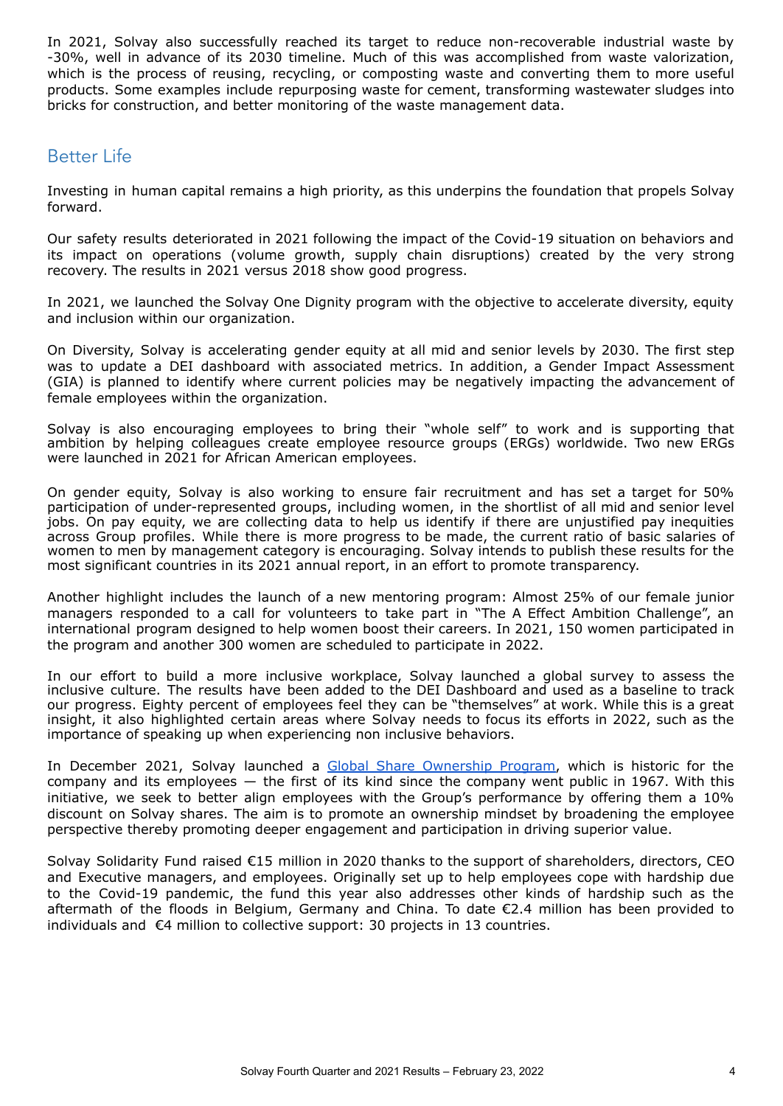In 2021, Solvay also successfully reached its target to reduce non-recoverable industrial waste by -30%, well in advance of its 2030 timeline. Much of this was accomplished from waste valorization, which is the process of reusing, recycling, or composting waste and converting them to more useful products. Some examples include repurposing waste for cement, transforming wastewater sludges into bricks for construction, and better monitoring of the waste management data.

## Better Life

Investing in human capital remains a high priority, as this underpins the foundation that propels Solvay forward.

Our safety results deteriorated in 2021 following the impact of the Covid-19 situation on behaviors and its impact on operations (volume growth, supply chain disruptions) created by the very strong recovery. The results in 2021 versus 2018 show good progress.

In 2021, we launched the Solvay One Dignity program with the objective to accelerate diversity, equity and inclusion within our organization.

On Diversity, Solvay is accelerating gender equity at all mid and senior levels by 2030. The first step was to update a DEI dashboard with associated metrics. In addition, a Gender Impact Assessment (GIA) is planned to identify where current policies may be negatively impacting the advancement of female employees within the organization.

Solvay is also encouraging employees to bring their "whole self" to work and is supporting that ambition by helping colleagues create employee resource groups (ERGs) worldwide. Two new ERGs were launched in 2021 for African American employees.

On gender equity, Solvay is also working to ensure fair recruitment and has set a target for 50% participation of under-represented groups, including women, in the shortlist of all mid and senior level jobs. On pay equity, we are collecting data to help us identify if there are unjustified pay inequities across Group profiles. While there is more progress to be made, the current ratio of basic salaries of women to men by management category is encouraging. Solvay intends to publish these results for the most significant countries in its 2021 annual report, in an effort to promote transparency.

Another highlight includes the launch of a new mentoring program: Almost 25% of our female junior managers responded to a call for volunteers to take part in "The A Effect Ambition Challenge", an international program designed to help women boost their careers. In 2021, 150 women participated in the program and another 300 women are scheduled to participate in 2022.

In our effort to build a more inclusive workplace, Solvay launched a global survey to assess the inclusive culture. The results have been added to the DEI Dashboard and used as a baseline to track our progress. Eighty percent of employees feel they can be "themselves" at work. While this is a great insight, it also highlighted certain areas where Solvay needs to focus its efforts in 2022, such as the importance of speaking up when experiencing non inclusive behaviors.

In December 2021, Solvay launched a Global Share [Ownership](https://www.solvay.com/en/press-release/solvay-launches-share-purchase-plan-its-employees) Program, which is historic for the company and its employees — the first of its kind since the company went public in 1967. With this initiative, we seek to better align employees with the Group's performance by offering them a 10% discount on Solvay shares. The aim is to promote an ownership mindset by broadening the employee perspective thereby promoting deeper engagement and participation in driving superior value.

Solvay Solidarity Fund raised €15 million in 2020 thanks to the support of shareholders, directors, CEO and Executive managers, and employees. Originally set up to help employees cope with hardship due to the Covid-19 pandemic, the fund this year also addresses other kinds of hardship such as the aftermath of the floods in Belgium, Germany and China. To date €2.4 million has been provided to individuals and €4 million to collective support: 30 projects in 13 countries.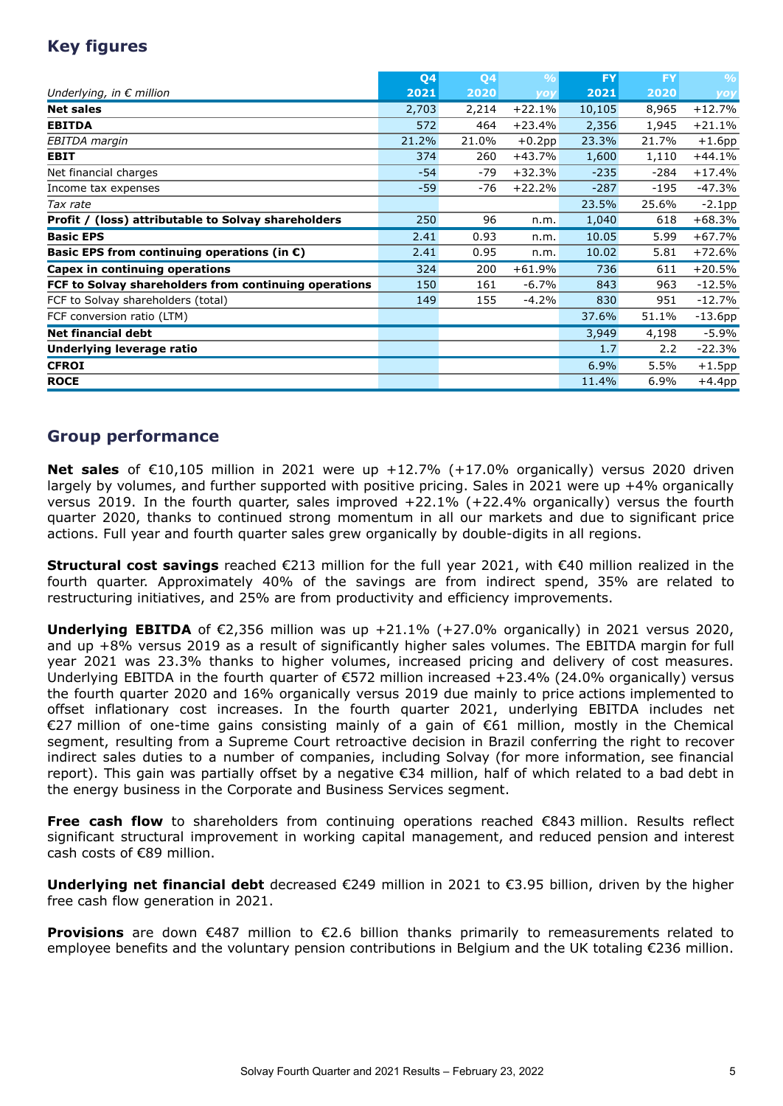## **Key figures**

|                                                       | Q4    | Q <sub>4</sub> | $\frac{9}{6}$ | <b>FY</b> | <b>FY</b> | $\frac{9}{6}$ |
|-------------------------------------------------------|-------|----------------|---------------|-----------|-----------|---------------|
| Underlying, in $\epsilon$ million                     | 2021  | 2020           | yoy           | 2021      | 2020      | yoy           |
| <b>Net sales</b>                                      | 2,703 | 2,214          | $+22.1%$      | 10,105    | 8,965     | $+12.7%$      |
| <b>EBITDA</b>                                         | 572   | 464            | $+23.4%$      | 2,356     | 1,945     | $+21.1%$      |
| EBITDA margin                                         | 21.2% | 21.0%          | $+0.2$ pp     | 23.3%     | 21.7%     | $+1.6$ pp     |
| <b>EBIT</b>                                           | 374   | 260            | $+43.7%$      | 1,600     | 1,110     | $+44.1%$      |
| Net financial charges                                 | $-54$ | $-79$          | $+32.3%$      | $-235$    | $-284$    | $+17.4%$      |
| Income tax expenses                                   | $-59$ | -76            | $+22.2%$      | $-287$    | $-195$    | $-47.3%$      |
| Tax rate                                              |       |                |               | 23.5%     | 25.6%     | $-2.1$ pp     |
| Profit / (loss) attributable to Solvay shareholders   | 250   | 96             | n.m.          | 1,040     | 618       | $+68.3%$      |
| <b>Basic EPS</b>                                      | 2.41  | 0.93           | n.m.          | 10.05     | 5.99      | $+67.7%$      |
| Basic EPS from continuing operations (in $\epsilon$ ) | 2.41  | 0.95           | n.m.          | 10.02     | 5.81      | $+72.6%$      |
| Capex in continuing operations                        | 324   | 200            | $+61.9%$      | 736       | 611       | $+20.5%$      |
| FCF to Solvay shareholders from continuing operations | 150   | 161            | $-6.7%$       | 843       | 963       | $-12.5%$      |
| FCF to Solvay shareholders (total)                    | 149   | 155            | $-4.2%$       | 830       | 951       | $-12.7%$      |
| FCF conversion ratio (LTM)                            |       |                |               | 37.6%     | 51.1%     | $-13.6$ pp    |
| <b>Net financial debt</b>                             |       |                |               | 3,949     | 4,198     | $-5.9%$       |
| Underlying leverage ratio                             |       |                |               | 1.7       | 2.2       | $-22.3%$      |
| <b>CFROI</b>                                          |       |                |               | 6.9%      | 5.5%      | $+1.5$ pp     |
| <b>ROCE</b>                                           |       |                |               | 11.4%     | 6.9%      | $+4.4$ pp     |

## **Group performance**

**Net sales** of €10,105 million in 2021 were up +12.7% (+17.0% organically) versus 2020 driven largely by volumes, and further supported with positive pricing. Sales in 2021 were up +4% organically versus 2019. In the fourth quarter, sales improved +22.1% (+22.4% organically) versus the fourth quarter 2020, thanks to continued strong momentum in all our markets and due to significant price actions. Full year and fourth quarter sales grew organically by double-digits in all regions.

**Structural cost savings** reached €213 million for the full year 2021, with €40 million realized in the fourth quarter. Approximately 40% of the savings are from indirect spend, 35% are related to restructuring initiatives, and 25% are from productivity and efficiency improvements.

**Underlying EBITDA** of €2,356 million was up  $+21.1\%$  ( $+27.0\%$  organically) in 2021 versus 2020, and up +8% versus 2019 as a result of significantly higher sales volumes. The EBITDA margin for full year 2021 was 23.3% thanks to higher volumes, increased pricing and delivery of cost measures. Underlying EBITDA in the fourth quarter of  $\epsilon$ 572 million increased +23.4% (24.0% organically) versus the fourth quarter 2020 and 16% organically versus 2019 due mainly to price actions implemented to offset inflationary cost increases. In the fourth quarter 2021, underlying EBITDA includes net €27 million of one-time gains consisting mainly of a gain of €61 million, mostly in the Chemical segment, resulting from a Supreme Court retroactive decision in Brazil conferring the right to recover indirect sales duties to a number of companies, including Solvay (for more information, see financial report). This gain was partially offset by a negative €34 million, half of which related to a bad debt in the energy business in the Corporate and Business Services segment.

**Free cash flow** to shareholders from continuing operations reached €843 million. Results reflect significant structural improvement in working capital management, and reduced pension and interest cash costs of €89 million.

**Underlying net financial debt** decreased €249 million in 2021 to €3.95 billion, driven by the higher free cash flow generation in 2021.

**Provisions** are down €487 million to €2.6 billion thanks primarily to remeasurements related to employee benefits and the voluntary pension contributions in Belgium and the UK totaling €236 million.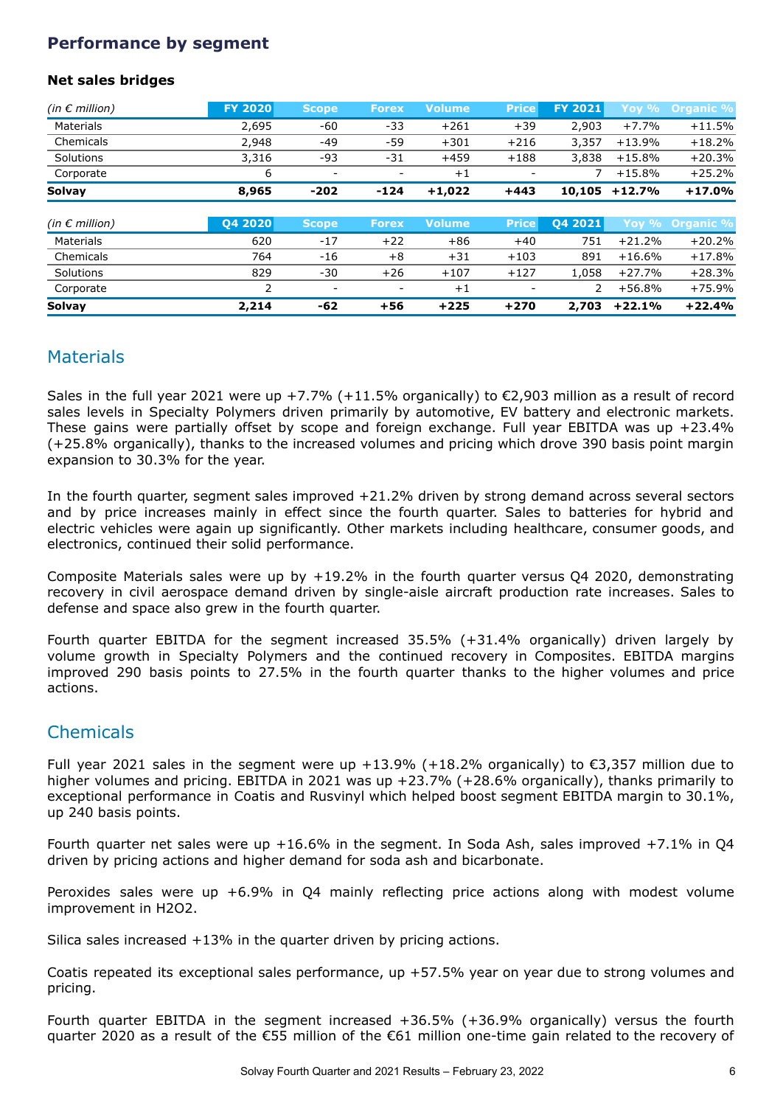## **Performance by segment**

### **Net sales bridges**

| (in $\epsilon$ million) | <b>FY 2020</b> | <b>Scope</b> | <b>Forex</b>             | <b>Volume</b> | <b>Price</b> | <b>FY 2021</b> | Yoy %    | Organic % |
|-------------------------|----------------|--------------|--------------------------|---------------|--------------|----------------|----------|-----------|
| Materials               | 2,695          | -60          | -33                      | $+261$        | $+39$        | 2,903          | $+7.7%$  | $+11.5%$  |
| Chemicals               | 2,948          | -49          | -59                      | $+301$        | $+216$       | 3,357          | $+13.9%$ | $+18.2%$  |
| Solutions               | 3,316          | -93          | -31                      | $+459$        | $+188$       | 3,838          | $+15.8%$ | $+20.3%$  |
| Corporate               | 6              |              | $\overline{\phantom{a}}$ | $+1$          |              |                | $+15.8%$ | $+25.2%$  |
| Solvay                  | 8,965          | $-202$       | $-124$                   | $+1,022$      | $+443$       | 10,105         | $+12.7%$ | $+17.0%$  |
|                         |                |              |                          |               |              |                |          |           |
| (in $\epsilon$ million) | 04 2020        | <b>Scope</b> | <b>Forex</b>             | <b>Volume</b> | <b>Price</b> | 04 2021        | Yov %    | Organic % |
| Materials               | 620            | $-17$        | $+22$                    |               |              |                |          | $+20.2%$  |
|                         |                |              |                          | $+86$         | $+40$        | 751            | $+21.2%$ |           |
| Chemicals               | 764            | -16          | $+8$                     | $+31$         | $+103$       | 891            | $+16.6%$ | $+17.8%$  |
| Solutions               | 829            | -30          | $+26$                    | $+107$        | $+127$       | 1.058          | $+27.7%$ | $+28.3%$  |
| Corporate               | 2              | ۰            | $\overline{\phantom{a}}$ | $+1$          |              | 2              | $+56.8%$ | $+75.9%$  |

## **Materials**

Sales in the full year 2021 were up +7.7% (+11.5% organically) to €2,903 million as a result of record sales levels in Specialty Polymers driven primarily by automotive, EV battery and electronic markets. These gains were partially offset by scope and foreign exchange. Full year EBITDA was up +23.4% (+25.8% organically), thanks to the increased volumes and pricing which drove 390 basis point margin expansion to 30.3% for the year.

In the fourth quarter, segment sales improved +21.2% driven by strong demand across several sectors and by price increases mainly in effect since the fourth quarter. Sales to batteries for hybrid and electric vehicles were again up significantly. Other markets including healthcare, consumer goods, and electronics, continued their solid performance.

Composite Materials sales were up by  $+19.2\%$  in the fourth quarter versus Q4 2020, demonstrating recovery in civil aerospace demand driven by single-aisle aircraft production rate increases. Sales to defense and space also grew in the fourth quarter.

Fourth quarter EBITDA for the segment increased 35.5% (+31.4% organically) driven largely by volume growth in Specialty Polymers and the continued recovery in Composites. EBITDA margins improved 290 basis points to 27.5% in the fourth quarter thanks to the higher volumes and price actions.

## **Chemicals**

Full year 2021 sales in the segment were up  $+13.9%$  (+18.2% organically) to €3,357 million due to higher volumes and pricing. EBITDA in 2021 was up +23.7% (+28.6% organically), thanks primarily to exceptional performance in Coatis and Rusvinyl which helped boost segment EBITDA margin to 30.1%, up 240 basis points.

Fourth quarter net sales were up  $+16.6\%$  in the segment. In Soda Ash, sales improved  $+7.1\%$  in O4 driven by pricing actions and higher demand for soda ash and bicarbonate.

Peroxides sales were up +6.9% in Q4 mainly reflecting price actions along with modest volume improvement in H2O2.

Silica sales increased +13% in the quarter driven by pricing actions.

Coatis repeated its exceptional sales performance, up +57.5% year on year due to strong volumes and pricing.

Fourth quarter EBITDA in the segment increased +36.5% (+36.9% organically) versus the fourth quarter 2020 as a result of the €55 million of the €61 million one-time gain related to the recovery of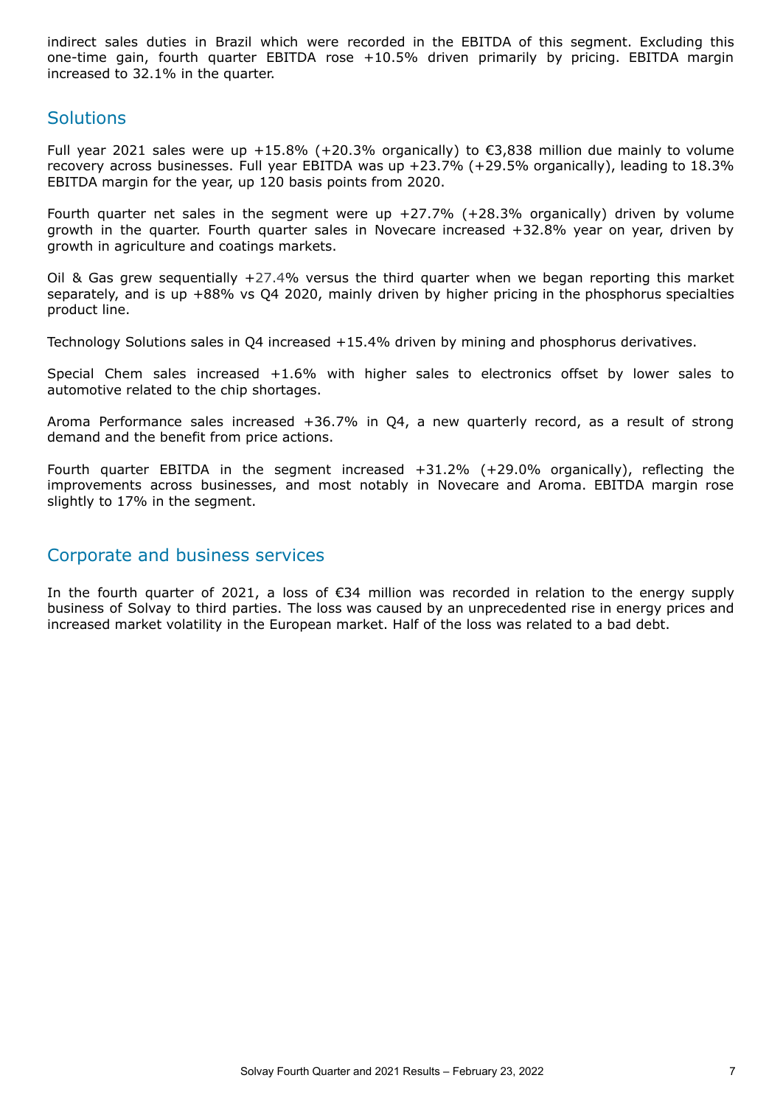indirect sales duties in Brazil which were recorded in the EBITDA of this segment. Excluding this one-time gain, fourth quarter EBITDA rose +10.5% driven primarily by pricing. EBITDA margin increased to 32.1% in the quarter.

## **Solutions**

Full year 2021 sales were up +15.8% (+20.3% organically) to €3,838 million due mainly to volume recovery across businesses. Full year EBITDA was up +23.7% (+29.5% organically), leading to 18.3% EBITDA margin for the year, up 120 basis points from 2020.

Fourth quarter net sales in the segment were up  $+27.7\%$  ( $+28.3\%$  organically) driven by volume growth in the quarter. Fourth quarter sales in Novecare increased +32.8% year on year, driven by growth in agriculture and coatings markets.

Oil & Gas grew sequentially +27.4% versus the third quarter when we began reporting this market separately, and is up +88% vs Q4 2020, mainly driven by higher pricing in the phosphorus specialties product line.

Technology Solutions sales in Q4 increased +15.4% driven by mining and phosphorus derivatives.

Special Chem sales increased +1.6% with higher sales to electronics offset by lower sales to automotive related to the chip shortages.

Aroma Performance sales increased +36.7% in Q4, a new quarterly record, as a result of strong demand and the benefit from price actions.

Fourth quarter EBITDA in the segment increased +31.2% (+29.0% organically), reflecting the improvements across businesses, and most notably in Novecare and Aroma. EBITDA margin rose slightly to 17% in the segment.

### Corporate and business services

In the fourth quarter of 2021, a loss of €34 million was recorded in relation to the energy supply business of Solvay to third parties. The loss was caused by an unprecedented rise in energy prices and increased market volatility in the European market. Half of the loss was related to a bad debt.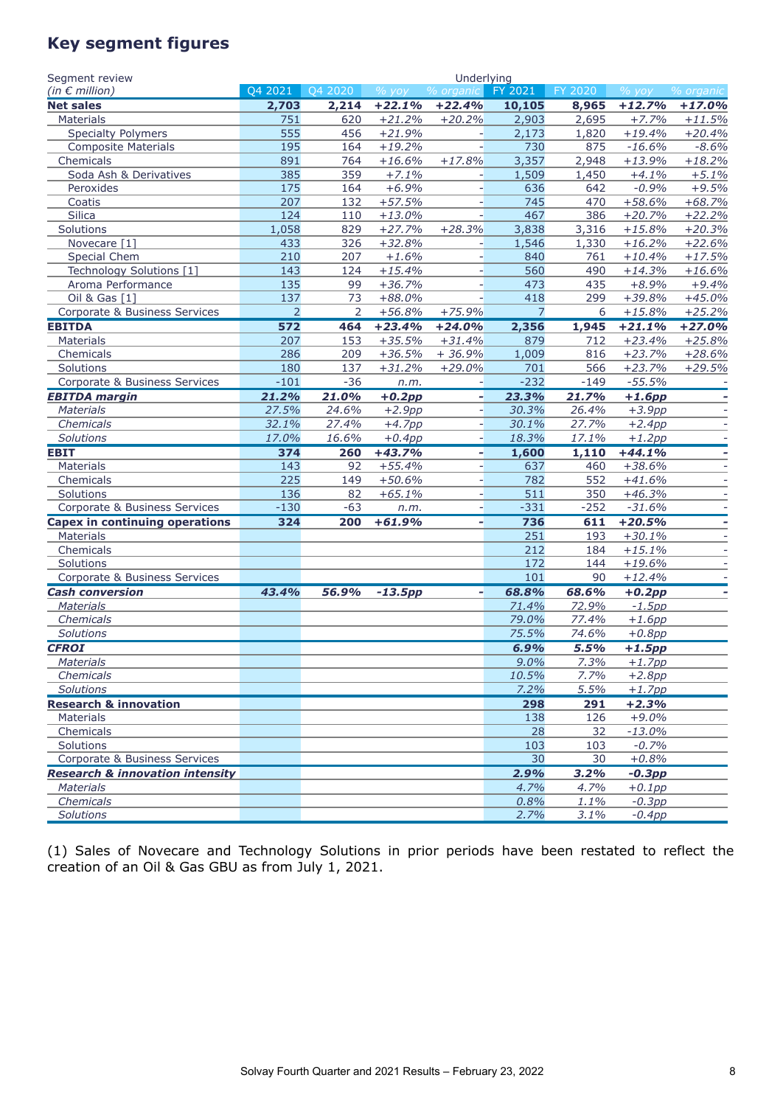# **Key segment figures**

| Seament review                             | Underlying     |                |           |                          |                |         |           |           |  |  |  |
|--------------------------------------------|----------------|----------------|-----------|--------------------------|----------------|---------|-----------|-----------|--|--|--|
| (in $\epsilon$ million)                    | Q4 2021        | Q4 2020        | $%$ yoy   | % organic                | FY 2021        | FY 2020 | $%$ vov   | % organic |  |  |  |
| <b>Net sales</b>                           | 2,703          | 2,214          | $+22.1%$  | $+22.4%$                 | 10,105         | 8,965   | $+12.7%$  | $+17.0%$  |  |  |  |
| <b>Materials</b>                           | 751            | 620            | $+21.2%$  | $+20.2%$                 | 2,903          | 2,695   | $+7.7%$   | $+11.5%$  |  |  |  |
| <b>Specialty Polymers</b>                  | 555            | 456            | $+21.9%$  |                          | 2,173          | 1,820   | $+19.4%$  | $+20.4%$  |  |  |  |
| <b>Composite Materials</b>                 | 195            | 164            | $+19.2%$  |                          | 730            | 875     | $-16.6%$  | $-8.6%$   |  |  |  |
| Chemicals                                  | 891            | 764            | $+16.6%$  | $+17.8%$                 | 3,357          | 2,948   | $+13.9%$  | $+18.2%$  |  |  |  |
| Soda Ash & Derivatives                     | 385            | 359            | $+7.1%$   | $\overline{\phantom{0}}$ | 1,509          | 1,450   | $+4.1%$   | $+5.1%$   |  |  |  |
| Peroxides                                  | 175            | 164            | $+6.9%$   |                          | 636            | 642     | $-0.9%$   | $+9.5%$   |  |  |  |
| Coatis                                     | 207            | 132            | $+57.5%$  |                          | 745            | 470     | $+58.6%$  | $+68.7%$  |  |  |  |
| <b>Silica</b>                              | 124            | 110            | $+13.0%$  |                          | 467            | 386     | $+20.7%$  | $+22.2%$  |  |  |  |
| Solutions                                  | 1,058          | 829            | $+27.7%$  | $+28.3%$                 | 3,838          | 3,316   | $+15.8%$  | $+20.3%$  |  |  |  |
| Novecare [1]                               | 433            | 326            | $+32.8%$  |                          | 1,546          | 1,330   | $+16.2%$  | $+22.6%$  |  |  |  |
| Special Chem                               | 210            | 207            | $+1.6%$   |                          | 840            | 761     | $+10.4%$  | $+17.5%$  |  |  |  |
| Technology Solutions [1]                   | 143            | 124            | $+15.4%$  |                          | 560            | 490     | $+14.3%$  | $+16.6%$  |  |  |  |
| Aroma Performance                          | 135            | 99             | $+36.7%$  | ٠                        | 473            | 435     | $+8.9%$   | $+9.4%$   |  |  |  |
| Oil & Gas [1]                              | 137            | 73             | $+88.0%$  |                          | 418            | 299     | $+39.8%$  | $+45.0%$  |  |  |  |
| Corporate & Business Services              | $\overline{2}$ | $\overline{2}$ | $+56.8%$  | $+75.9%$                 | $\overline{7}$ | 6       | $+15.8%$  | $+25.2%$  |  |  |  |
| <b>EBITDA</b>                              | 572            | 464            | $+23.4%$  | $+24.0%$                 | 2,356          | 1,945   | $+21.1%$  | $+27.0%$  |  |  |  |
| <b>Materials</b>                           | 207            | 153            | $+35.5%$  | $+31.4%$                 | 879            | 712     | $+23.4%$  | $+25.8%$  |  |  |  |
| Chemicals                                  | 286            | 209            | $+36.5%$  | $+36.9%$                 | 1,009          | 816     | $+23.7%$  | $+28.6%$  |  |  |  |
| Solutions                                  | 180            | 137            | $+31.2%$  | $+29.0%$                 | 701            | 566     | $+23.7%$  | $+29.5%$  |  |  |  |
| Corporate & Business Services              | $-101$         | $-36$          | n.m.      |                          | $-232$         | $-149$  | $-55.5%$  |           |  |  |  |
| <b>EBITDA</b> margin                       | 21.2%          | 21.0%          | $+0.2pp$  | ٠                        | 23.3%          | 21.7%   | $+1.6pp$  |           |  |  |  |
| <b>Materials</b>                           | 27.5%          | 24.6%          | $+2.9pp$  | ٠                        | 30.3%          | 26.4%   | $+3.9pp$  |           |  |  |  |
| Chemicals                                  | 32.1%          | 27.4%          | $+4.7pp$  | ٠                        | 30.1%          | 27.7%   | $+2.4pp$  |           |  |  |  |
| Solutions                                  | 17.0%          | 16.6%          | $+0.4pp$  |                          | 18.3%          | 17.1%   | $+1.2pp$  |           |  |  |  |
| <b>EBIT</b>                                | 374            | 260            | $+43.7%$  | ٠                        | 1,600          | 1,110   | $+44.1%$  |           |  |  |  |
| <b>Materials</b>                           | 143            | 92             | $+55.4%$  | ٠                        | 637            | 460     | $+38.6%$  |           |  |  |  |
| Chemicals                                  | 225            | 149            | $+50.6%$  | ۰                        | 782            | 552     | $+41.6%$  |           |  |  |  |
| Solutions                                  | 136            | 82             | $+65.1%$  | ٠                        | 511            | 350     | $+46.3%$  |           |  |  |  |
| Corporate & Business Services              | $-130$         | $-63$          | n.m.      |                          | $-331$         | $-252$  | $-31.6%$  |           |  |  |  |
| <b>Capex in continuing operations</b>      | 324            | 200            | $+61.9%$  |                          | 736            | 611     | $+20.5%$  |           |  |  |  |
| <b>Materials</b>                           |                |                |           |                          | 251            | 193     | $+30.1%$  |           |  |  |  |
| Chemicals                                  |                |                |           |                          | 212            | 184     | $+15.1%$  |           |  |  |  |
| Solutions                                  |                |                |           |                          | 172            | 144     | $+19.6%$  |           |  |  |  |
| Corporate & Business Services              |                |                |           |                          | 101            | 90      | $+12.4%$  |           |  |  |  |
| <b>Cash conversion</b>                     | 43.4%          | 56.9%          | $-13.5pp$ | ٠                        | 68.8%          | 68.6%   | $+0.2pp$  |           |  |  |  |
| <b>Materials</b>                           |                |                |           |                          | 71.4%          | 72.9%   | $-1.5pp$  |           |  |  |  |
| Chemicals                                  |                |                |           |                          | 79.0%          | 77.4%   | $+1.6pp$  |           |  |  |  |
| Solutions                                  |                |                |           |                          | 75.5%          | 74.6%   | $+0.8pp$  |           |  |  |  |
| <b>CFROI</b>                               |                |                |           |                          | 6.9%           | 5.5%    | $+1.5pp$  |           |  |  |  |
| <b>Materials</b>                           |                |                |           |                          | 9.0%           | 7.3%    | $+1.7pp$  |           |  |  |  |
| Chemicals                                  |                |                |           |                          | 10.5%          | 7.7%    | $+2.8pp$  |           |  |  |  |
| Solutions                                  |                |                |           |                          | 7.2%           | 5.5%    | $+1.7pp$  |           |  |  |  |
| <b>Research &amp; innovation</b>           |                |                |           |                          | 298            | 291     | $+2.3%$   |           |  |  |  |
| <b>Materials</b>                           |                |                |           |                          | 138            | 126     | $+9.0%$   |           |  |  |  |
| Chemicals                                  |                |                |           |                          | 28             | 32      | $-13.0%$  |           |  |  |  |
| Solutions                                  |                |                |           |                          | 103            | 103     | $-0.7%$   |           |  |  |  |
| Corporate & Business Services              |                |                |           |                          | 30             | 30      | $+0.8%$   |           |  |  |  |
| <b>Research &amp; innovation intensity</b> |                |                |           |                          | 2.9%           | 3.2%    | $-0.3$ pp |           |  |  |  |
| <b>Materials</b>                           |                |                |           |                          | 4.7%           | 4.7%    | $+0.1pp$  |           |  |  |  |
| Chemicals                                  |                |                |           |                          | 0.8%           | 1.1%    | $-0.3pp$  |           |  |  |  |
| <b>Solutions</b>                           |                |                |           |                          | 2.7%           | 3.1%    | $-0.4pp$  |           |  |  |  |

(1) Sales of Novecare and Technology Solutions in prior periods have been restated to reflect the creation of an Oil & Gas GBU as from July 1, 2021.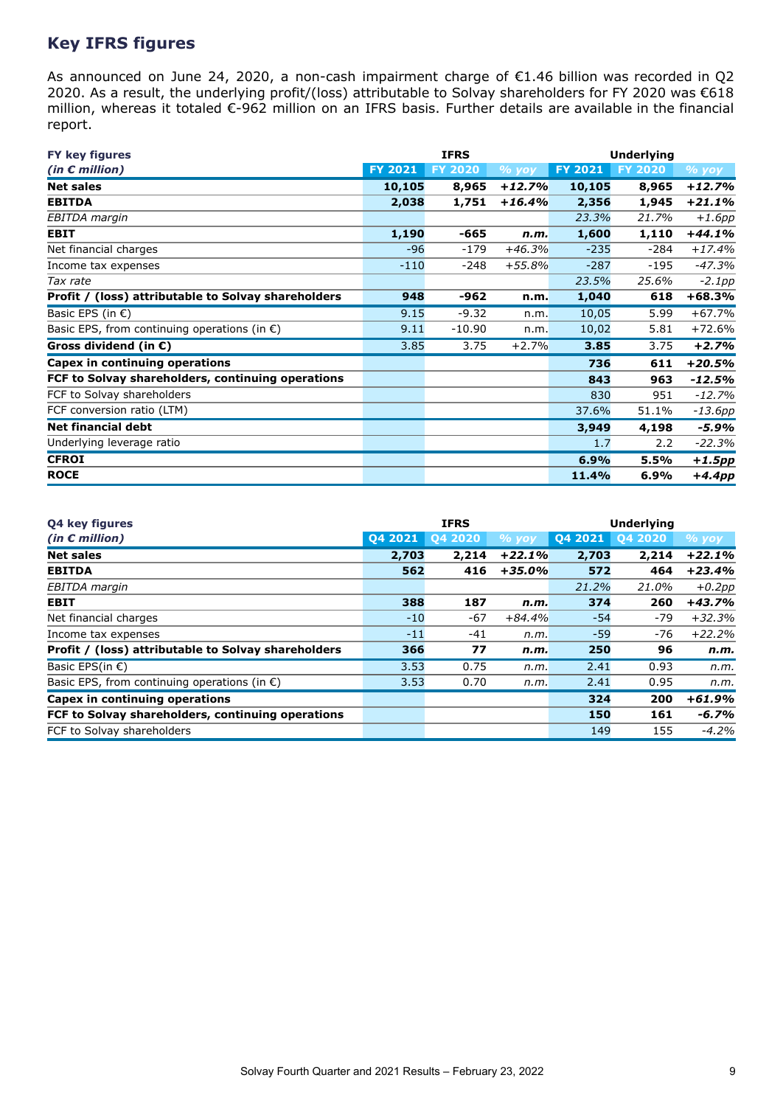## **Key IFRS figures**

As announced on June 24, 2020, a non-cash impairment charge of €1.46 billion was recorded in Q2 2020. As a result, the underlying profit/(loss) attributable to Solvay shareholders for FY 2020 was €618 million, whereas it totaled €-962 million on an IFRS basis. Further details are available in the financial report.

| <b>FY key figures</b>                                  |                | <b>IFRS</b>    |          | <b>Underlying</b> |                |                   |  |
|--------------------------------------------------------|----------------|----------------|----------|-------------------|----------------|-------------------|--|
| (in $\epsilon$ million)                                | <b>FY 2021</b> | <b>FY 2020</b> | $%$ yoy  | <b>FY 2021</b>    | <b>FY 2020</b> | $\frac{9}{6}$ yoy |  |
| <b>Net sales</b>                                       | 10,105         | 8,965          | $+12.7%$ | 10,105            | 8,965          | $+12.7%$          |  |
| <b>EBITDA</b>                                          | 2,038          | 1,751          | $+16.4%$ | 2,356             | 1,945          | $+21.1%$          |  |
| EBITDA margin                                          |                |                |          | 23.3%             | 21.7%          | $+1.6pp$          |  |
| <b>EBIT</b>                                            | 1,190          | -665           | n.m.     | 1,600             | 1,110          | $+44.1%$          |  |
| Net financial charges                                  | $-96$          | $-179$         | $+46.3%$ | $-235$            | $-284$         | $+17.4%$          |  |
| Income tax expenses                                    | $-110$         | $-248$         | $+55.8%$ | $-287$            | -195           | $-47.3%$          |  |
| Tax rate                                               |                |                |          | 23.5%             | 25.6%          | $-2.1pp$          |  |
| Profit / (loss) attributable to Solvay shareholders    | 948            | -962           | n.m.     | 1,040             | 618            | $+68.3%$          |  |
| Basic EPS (in $\epsilon$ )                             | 9.15           | $-9.32$        | n.m.     | 10,05             | 5.99           | $+67.7%$          |  |
| Basic EPS, from continuing operations (in $\epsilon$ ) | 9.11           | $-10.90$       | n.m.     | 10,02             | 5.81           | $+72.6%$          |  |
| Gross dividend (in $\epsilon$ )                        | 3.85           | 3.75           | $+2.7%$  | 3.85              | 3.75           | $+2.7%$           |  |
| Capex in continuing operations                         |                |                |          | 736               | 611            | $+20.5%$          |  |
| FCF to Solvay shareholders, continuing operations      |                |                |          | 843               | 963            | $-12.5%$          |  |
| FCF to Solvay shareholders                             |                |                |          | 830               | 951            | $-12.7%$          |  |
| FCF conversion ratio (LTM)                             |                |                |          | 37.6%             | 51.1%          | $-13.6pp$         |  |
| <b>Net financial debt</b>                              |                |                |          | 3,949             | 4,198          | -5.9%             |  |
| Underlying leverage ratio                              |                |                |          | 1.7               | 2.2            | $-22.3%$          |  |
| <b>CFROI</b>                                           |                |                |          | 6.9%              | 5.5%           | $+1.5$ pp         |  |
| <b>ROCE</b>                                            |                |                |          | 11.4%             | 6.9%           | $+4.4pp$          |  |

| <b>04 key figures</b>                                  |         | <b>IFRS</b> |          | <b>Underlying</b> |          |              |  |
|--------------------------------------------------------|---------|-------------|----------|-------------------|----------|--------------|--|
| (in $\epsilon$ million)                                | 04 2021 | 04 20 20    | $%$ yoy  | 04 20 21          | 04 20 20 | <u>% yoy</u> |  |
| <b>Net sales</b>                                       | 2,703   | 2,214       | $+22.1%$ | 2,703             | 2,214    | $+22.1%$     |  |
| <b>EBITDA</b>                                          | 562     | 416         | $+35.0%$ | 572               | 464      | $+23.4%$     |  |
| EBITDA margin                                          |         |             |          | 21.2%             | 21.0%    | $+0.2$ pp    |  |
| <b>EBIT</b>                                            | 388     | 187         | n.m.     | 374               | 260      | $+43.7%$     |  |
| Net financial charges                                  | $-10$   | $-67$       | $+84.4%$ | -54               | -79      | $+32.3%$     |  |
| Income tax expenses                                    | $-11$   | -41         | n.m.     | $-59$             | -76      | $+22.2%$     |  |
| Profit / (loss) attributable to Solvay shareholders    | 366     | 77          | n.m.     | 250               | 96       | n.m.         |  |
| Basic EPS(in $\epsilon$ )                              | 3.53    | 0.75        | n.m.     | 2.41              | 0.93     | n.m.         |  |
| Basic EPS, from continuing operations (in $\epsilon$ ) | 3.53    | 0.70        | n.m.     | 2.41              | 0.95     | n.m.         |  |
| Capex in continuing operations                         |         |             |          | 324               | 200      | $+61.9%$     |  |
| FCF to Solvay shareholders, continuing operations      |         |             |          | 150               | 161      | $-6.7%$      |  |
| FCF to Solvay shareholders                             |         |             |          | 149               | 155      | $-4.2%$      |  |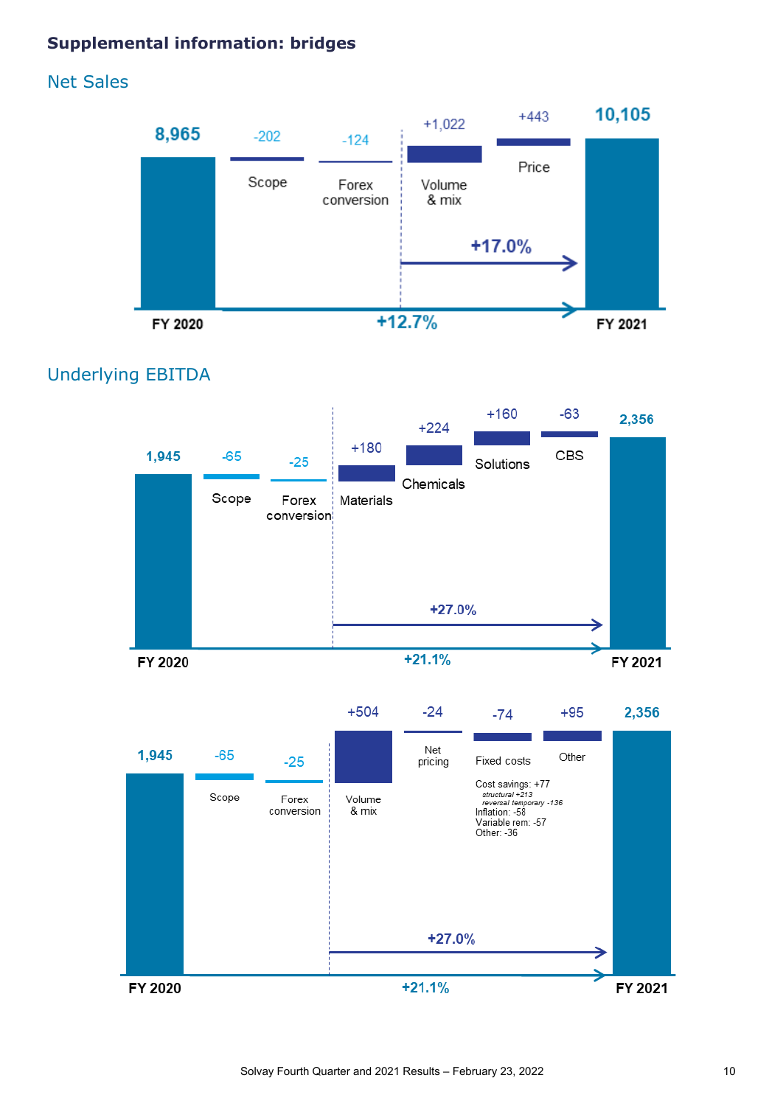## **Supplemental information: bridges**

# Net Sales



# Underlying EBITDA



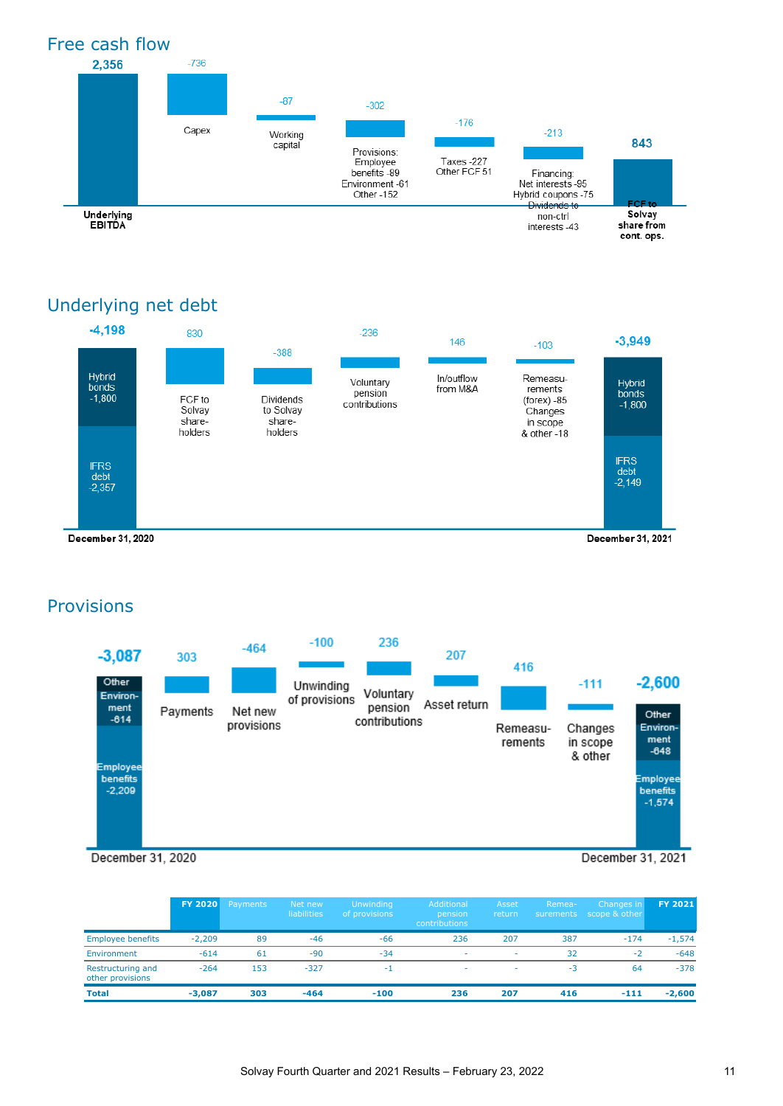

# Underlying net debt



## **Provisions**



December 31, 2020

December 31, 2021

|                                       | <b>FY 2020</b> | <b>Payments</b> | Net new<br><b>liabilities</b> | <b>Unwinding</b><br>of provisions | Additional<br>pension<br>contributions | Asset<br>return | Remea- | <b>Changes in</b><br>surements scope & other | <b>FY 2021</b> |
|---------------------------------------|----------------|-----------------|-------------------------------|-----------------------------------|----------------------------------------|-----------------|--------|----------------------------------------------|----------------|
| <b>Employee benefits</b>              | $-2.209$       | 89              | $-46$                         | $-66$                             | 236                                    | 207             | 387    | $-174$                                       | $-1,574$       |
| Environment                           | $-614$         | 61              | $-90$                         | $-34$                             | $\overline{\phantom{a}}$               | $\sim$          | 32     | $-2$                                         | $-648$         |
| Restructuring and<br>other provisions | $-264$         | 153             | $-327$                        | $-1$                              | $\sim$                                 | $\sim$          | $-3$   | 64                                           | $-378$         |
| <b>Total</b>                          | $-3.087$       | 303             | $-464$                        | $-100$                            | 236                                    | 207             | 416    | $-111$                                       | $-2,600$       |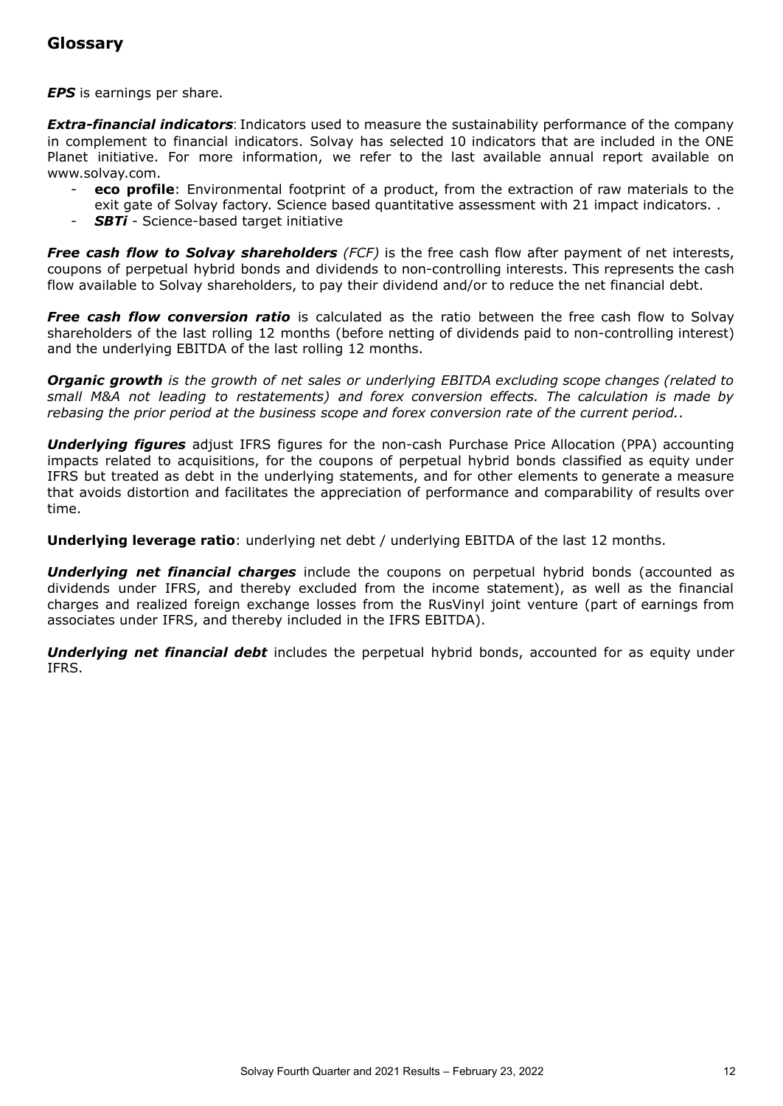## **Glossary**

*EPS* is earnings per share.

*Extra-financial indicators*: Indicators used to measure the sustainability performance of the company in complement to financial indicators. Solvay has selected 10 indicators that are included in the ONE Planet initiative. For more information, we refer to the last available annual report available on [www.solvay.com](http://www.solvay.com).

- **eco profile**: Environmental footprint of a product, from the extraction of raw materials to the exit gate of Solvay factory. Science based quantitative assessment with 21 impact indicators. .
- **SBTi** Science-based target initiative

*Free cash flow to Solvay shareholders (FCF)* is the free cash flow after payment of net interests, coupons of perpetual hybrid bonds and dividends to non-controlling interests. This represents the cash flow available to Solvay shareholders, to pay their dividend and/or to reduce the net financial debt.

*Free cash flow conversion ratio* is calculated as the ratio between the free cash flow to Solvay shareholders of the last rolling 12 months (before netting of dividends paid to non-controlling interest) and the underlying EBITDA of the last rolling 12 months.

*Organic growth is the growth of net sales or underlying EBITDA excluding scope changes (related to small M&A not leading to restatements) and forex conversion effects. The calculation is made by rebasing the prior period at the business scope and forex conversion rate of the current period.*.

*Underlying figures* adjust IFRS figures for the non-cash Purchase Price Allocation (PPA) accounting impacts related to acquisitions, for the coupons of perpetual hybrid bonds classified as equity under IFRS but treated as debt in the underlying statements, and for other elements to generate a measure that avoids distortion and facilitates the appreciation of performance and comparability of results over time.

**Underlying leverage ratio**: underlying net debt / underlying EBITDA of the last 12 months.

*Underlying net financial charges* include the coupons on perpetual hybrid bonds (accounted as dividends under IFRS, and thereby excluded from the income statement), as well as the financial charges and realized foreign exchange losses from the RusVinyl joint venture (part of earnings from associates under IFRS, and thereby included in the IFRS EBITDA).

*Underlying net financial debt* includes the perpetual hybrid bonds, accounted for as equity under IFRS.